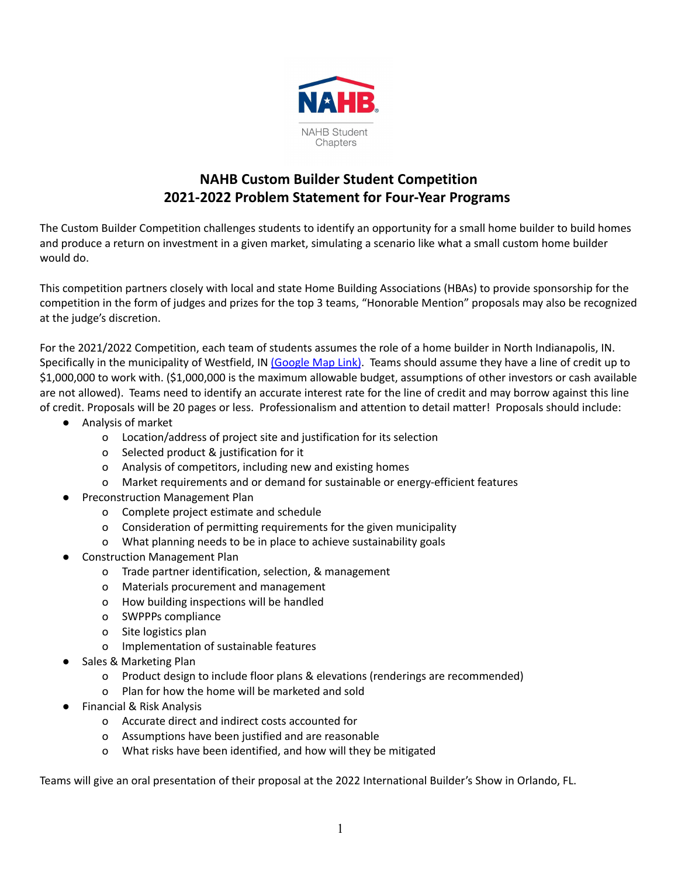

## **NAHB Custom Builder Student Competition 2021-2022 Problem Statement for Four-Year Programs**

The Custom Builder Competition challenges students to identify an opportunity for a small home builder to build homes and produce a return on investment in a given market, simulating a scenario like what a small custom home builder would do.

This competition partners closely with local and state Home Building Associations (HBAs) to provide sponsorship for the competition in the form of judges and prizes for the top 3 teams, "Honorable Mention" proposals may also be recognized at the judge's discretion.

For the 2021/2022 Competition, each team of students assumes the role of a home builder in North Indianapolis, IN. Specifically in the municipality of Westfield, IN [\(Google](https://www.google.com/maps/place/Westfield,+IN/@40.0392561,-86.1863477,21102m/data=!3m1!1e3!4m5!3m4!1s0x8814a58112169a67:0x6cbc14df7cdece6d!8m2!3d40.0427376!4d-86.1277491) Map Link). Teams should assume they have a line of credit up to \$1,000,000 to work with. (\$1,000,000 is the maximum allowable budget, assumptions of other investors or cash available are not allowed). Teams need to identify an accurate interest rate for the line of credit and may borrow against this line of credit. Proposals will be 20 pages or less. Professionalism and attention to detail matter! Proposals should include:

- Analysis of market
	- o Location/address of project site and justification for its selection
	- o Selected product & justification for it
	- o Analysis of competitors, including new and existing homes
	- o Market requirements and or demand for sustainable or energy-efficient features
- **Preconstruction Management Plan** 
	- o Complete project estimate and schedule
	- o Consideration of permitting requirements for the given municipality
	- o What planning needs to be in place to achieve sustainability goals
- **Construction Management Plan** 
	- o Trade partner identification, selection, & management
	- o Materials procurement and management
	- o How building inspections will be handled
	- o SWPPPs compliance
	- o Site logistics plan
	- o Implementation of sustainable features
- Sales & Marketing Plan
	- o Product design to include floor plans & elevations (renderings are recommended)
	- o Plan for how the home will be marketed and sold
- Financial & Risk Analysis
	- o Accurate direct and indirect costs accounted for
	- o Assumptions have been justified and are reasonable
	- o What risks have been identified, and how will they be mitigated

Teams will give an oral presentation of their proposal at the 2022 International Builder's Show in Orlando, FL.